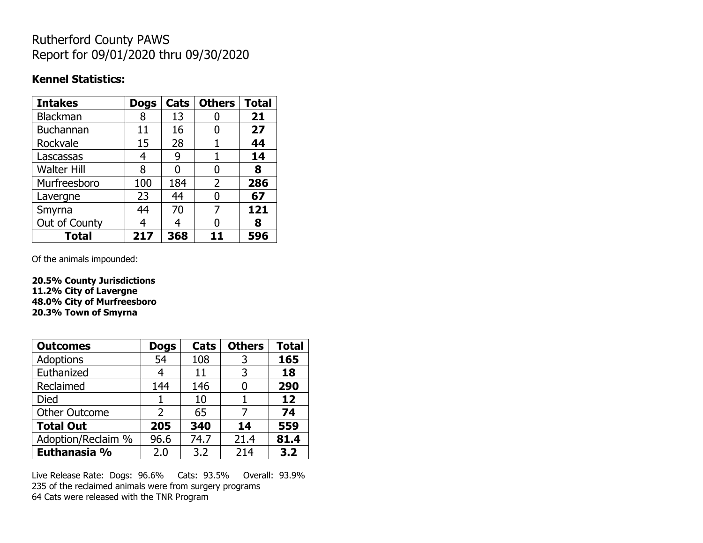## Rutherford County PAWS Report for 09/01/2020 thru 09/30/2020

### **Kennel Statistics:**

| <b>Intakes</b>     | <b>Dogs</b> | Cats | <b>Others</b>  | <b>Total</b> |
|--------------------|-------------|------|----------------|--------------|
| <b>Blackman</b>    | 8           | 13   |                | 21           |
| <b>Buchannan</b>   | 11          | 16   |                | 27           |
| Rockvale           | 15          | 28   |                | 44           |
| Lascassas          | 4           | 9    | 1              | 14           |
| <b>Walter Hill</b> | 8           | O    | 0              | 8            |
| Murfreesboro       | 100         | 184  | $\overline{2}$ | 286          |
| Lavergne           | 23          | 44   | O              | 67           |
| Smyrna             | 44          | 70   | 7              | 121          |
| Out of County      | 4           | 4    |                | 8            |
| <b>Total</b>       | 217         | 368  | 11             | 596          |

Of the animals impounded:

**20.5% County Jurisdictions 11.2% City of Lavergne 48.0% City of Murfreesboro 20.3% Town of Smyrna**

| <b>Outcomes</b>      | <b>Dogs</b> | Cats | <b>Others</b> | <b>Total</b> |
|----------------------|-------------|------|---------------|--------------|
| Adoptions            | 54          | 108  | 3             | 165          |
| Euthanized           | 4           | 11   | 3             | 18           |
| Reclaimed            | 144         | 146  |               | 290          |
| <b>Died</b>          |             | 10   |               | 12           |
| <b>Other Outcome</b> | 2           | 65   | 7             | 74           |
| <b>Total Out</b>     | 205         | 340  | 14            | 559          |
| Adoption/Reclaim %   | 96.6        | 74.7 | 21.4          | 81.4         |
| Euthanasia %         | 2.0         | 3.2  | 214           | 3.2          |

Live Release Rate: Dogs: 96.6% Cats: 93.5% Overall: 93.9% 235 of the reclaimed animals were from surgery programs 64 Cats were released with the TNR Program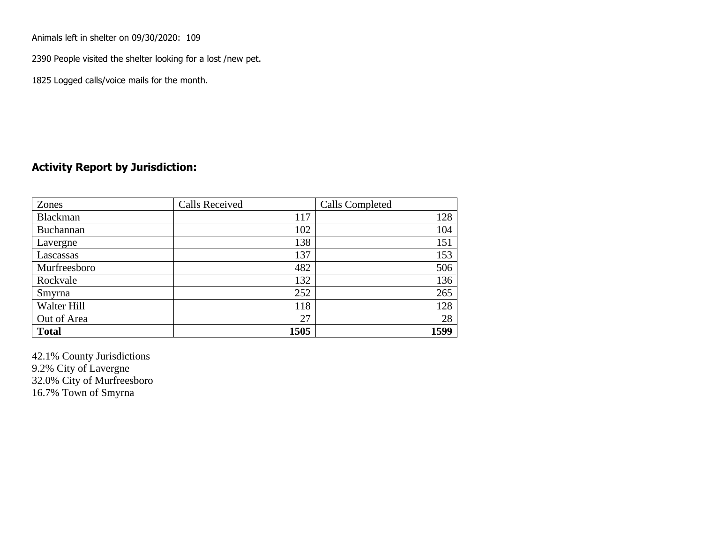Animals left in shelter on 09/30/2020: 109

2390 People visited the shelter looking for a lost /new pet.

1825 Logged calls/voice mails for the month.

### **Activity Report by Jurisdiction:**

| Zones        | <b>Calls Received</b> | Calls Completed |
|--------------|-----------------------|-----------------|
| Blackman     | 117                   | 128             |
| Buchannan    | 102                   | 104             |
| Lavergne     | 138                   | 151             |
| Lascassas    | 137                   | 153             |
| Murfreesboro | 482                   | 506             |
| Rockvale     | 132                   | 136             |
| Smyrna       | 252                   | 265             |
| Walter Hill  | 118                   | 128             |
| Out of Area  | 27                    | 28              |
| <b>Total</b> | 1505                  | 1599            |

42.1% County Jurisdictions 9.2% City of Lavergne 32.0% City of Murfreesboro 16.7% Town of Smyrna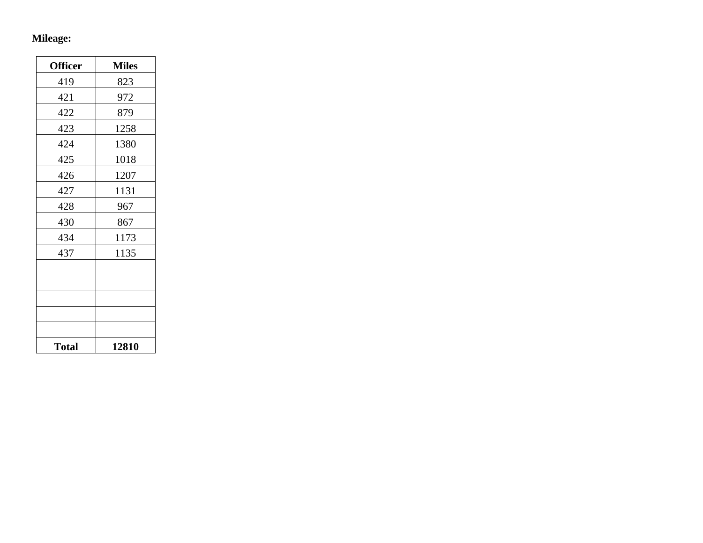# **Mileage:**

| <b>Officer</b> | <b>Miles</b> |
|----------------|--------------|
| 419            | 823          |
| 421            | 972          |
| 422            | 879          |
| 423            | 1258         |
| 424            | 1380         |
| 425            | 1018         |
| 426            | 1207         |
| 427            | 1131         |
| 428            | 967          |
| 430            | 867          |
| 434            | 1173         |
| 437            | 1135         |
|                |              |
|                |              |
|                |              |
|                |              |
|                |              |
| <b>Total</b>   | 12810        |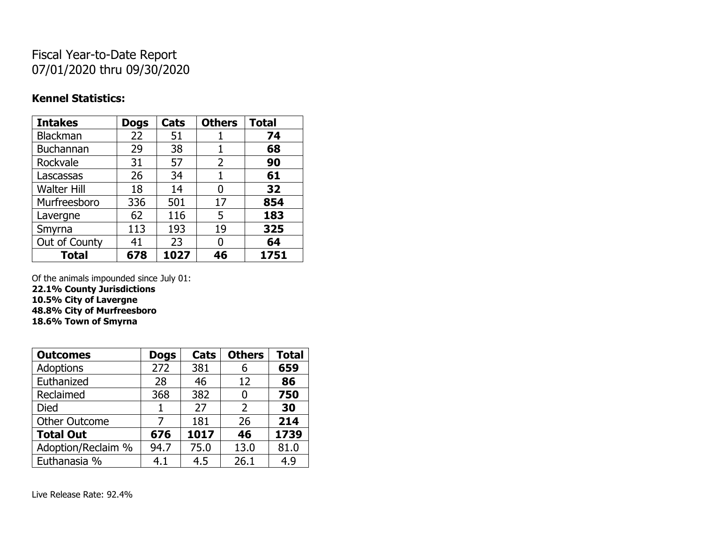## Fiscal Year-to-Date Report 07/01/2020 thru 09/30/2020

### **Kennel Statistics:**

| <b>Intakes</b>     | <b>Dogs</b> | Cats | <b>Others</b> | <b>Total</b> |
|--------------------|-------------|------|---------------|--------------|
| Blackman           | 22          | 51   | 1             | 74           |
| <b>Buchannan</b>   | 29          | 38   | 1             | 68           |
| Rockvale           | 31          | 57   | 2             | 90           |
| Lascassas          | 26          | 34   | 1             | 61           |
| <b>Walter Hill</b> | 18          | 14   | 0             | 32           |
| Murfreesboro       | 336         | 501  | 17            | 854          |
| Lavergne           | 62          | 116  | 5             | 183          |
| Smyrna             | 113         | 193  | 19            | 325          |
| Out of County      | 41          | 23   | 0             | 64           |
| <b>Total</b>       | 678         | 1027 | 46            | 1751         |

Of the animals impounded since July 01:

**22.1% County Jurisdictions**

**10.5% City of Lavergne 48.8% City of Murfreesboro**

**18.6% Town of Smyrna**

| <b>Outcomes</b>      | <b>Dogs</b> | Cats | <b>Others</b>  | <b>Total</b> |
|----------------------|-------------|------|----------------|--------------|
| <b>Adoptions</b>     | 272         | 381  | 6              | 659          |
| Euthanized           | 28          | 46   | 12             | 86           |
| Reclaimed            | 368         | 382  | 0              | 750          |
| <b>Died</b>          |             | 27   | $\overline{2}$ | 30           |
| <b>Other Outcome</b> |             | 181  | 26             | 214          |
| <b>Total Out</b>     | 676         | 1017 | 46             | 1739         |
| Adoption/Reclaim %   | 94.7        | 75.0 | 13.0           | 81.0         |
| Euthanasia %         | 4.1         | 4.5  | 26.1           | 4.9          |

Live Release Rate: 92.4%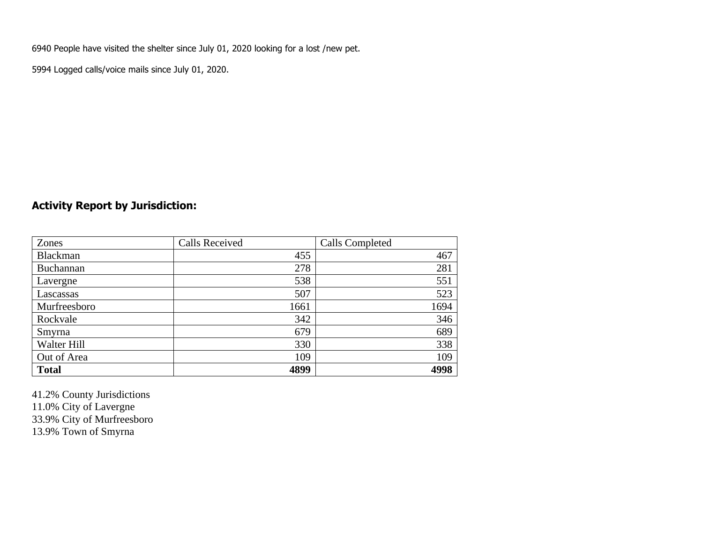6940 People have visited the shelter since July 01, 2020 looking for a lost /new pet.

5994 Logged calls/voice mails since July 01, 2020.

### **Activity Report by Jurisdiction:**

| Zones           | <b>Calls Received</b> | Calls Completed |
|-----------------|-----------------------|-----------------|
| <b>Blackman</b> | 455                   | 467             |
| Buchannan       | 278                   | 281             |
| Lavergne        | 538                   | 551             |
| Lascassas       | 507                   | 523             |
| Murfreesboro    | 1661                  | 1694            |
| Rockvale        | 342                   | 346             |
| Smyrna          | 679                   | 689             |
| Walter Hill     | 330                   | 338             |
| Out of Area     | 109                   | 109             |
| <b>Total</b>    | 4899                  | 4998            |

41.2% County Jurisdictions 11.0% City of Lavergne 33.9% City of Murfreesboro 13.9% Town of Smyrna